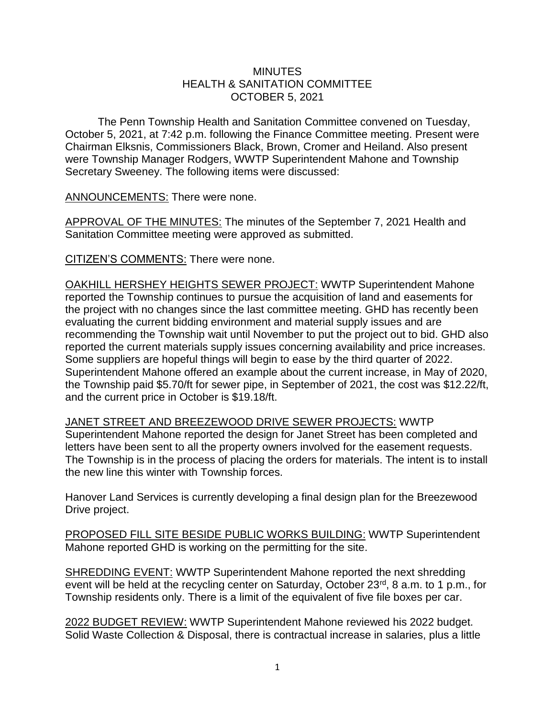## **MINUTES** HEALTH & SANITATION COMMITTEE OCTOBER 5, 2021

The Penn Township Health and Sanitation Committee convened on Tuesday, October 5, 2021, at 7:42 p.m. following the Finance Committee meeting. Present were Chairman Elksnis, Commissioners Black, Brown, Cromer and Heiland. Also present were Township Manager Rodgers, WWTP Superintendent Mahone and Township Secretary Sweeney. The following items were discussed:

ANNOUNCEMENTS: There were none.

APPROVAL OF THE MINUTES: The minutes of the September 7, 2021 Health and Sanitation Committee meeting were approved as submitted.

CITIZEN'S COMMENTS: There were none.

OAKHILL HERSHEY HEIGHTS SEWER PROJECT: WWTP Superintendent Mahone reported the Township continues to pursue the acquisition of land and easements for the project with no changes since the last committee meeting. GHD has recently been evaluating the current bidding environment and material supply issues and are recommending the Township wait until November to put the project out to bid. GHD also reported the current materials supply issues concerning availability and price increases. Some suppliers are hopeful things will begin to ease by the third quarter of 2022. Superintendent Mahone offered an example about the current increase, in May of 2020, the Township paid \$5.70/ft for sewer pipe, in September of 2021, the cost was \$12.22/ft, and the current price in October is \$19.18/ft.

JANET STREET AND BREEZEWOOD DRIVE SEWER PROJECTS: WWTP Superintendent Mahone reported the design for Janet Street has been completed and letters have been sent to all the property owners involved for the easement requests. The Township is in the process of placing the orders for materials. The intent is to install the new line this winter with Township forces.

Hanover Land Services is currently developing a final design plan for the Breezewood Drive project.

PROPOSED FILL SITE BESIDE PUBLIC WORKS BUILDING: WWTP Superintendent Mahone reported GHD is working on the permitting for the site.

SHREDDING EVENT: WWTP Superintendent Mahone reported the next shredding event will be held at the recycling center on Saturday, October 23<sup>rd</sup>, 8 a.m. to 1 p.m., for Township residents only. There is a limit of the equivalent of five file boxes per car.

2022 BUDGET REVIEW: WWTP Superintendent Mahone reviewed his 2022 budget. Solid Waste Collection & Disposal, there is contractual increase in salaries, plus a little